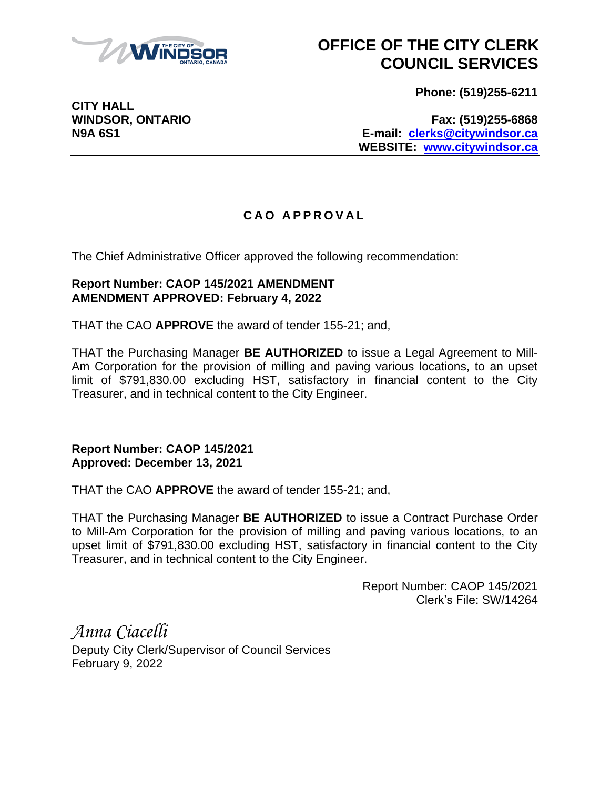

## **OFFICE OF THE CITY CLERK COUNCIL SERVICES**

**Phone: (519)255-6211**

**CITY HALL**

**WINDSOR, ONTARIO Fax: (519)255-6868 N9A 6S1 E-mail: [clerks@citywindsor.ca](mailto:clerks@citywindsor.ca) WEBSITE: [www.citywindsor.ca](http://www.citywindsor.ca/)**

## **C A O A P P R O V A L**

The Chief Administrative Officer approved the following recommendation:

## **Report Number: CAOP 145/2021 AMENDMENT AMENDMENT APPROVED: February 4, 2022**

THAT the CAO **APPROVE** the award of tender 155-21; and,

THAT the Purchasing Manager **BE AUTHORIZED** to issue a Legal Agreement to Mill-Am Corporation for the provision of milling and paving various locations, to an upset limit of \$791,830.00 excluding HST, satisfactory in financial content to the City Treasurer, and in technical content to the City Engineer.

**Report Number: CAOP 145/2021 Approved: December 13, 2021**

THAT the CAO **APPROVE** the award of tender 155-21; and,

THAT the Purchasing Manager **BE AUTHORIZED** to issue a Contract Purchase Order to Mill-Am Corporation for the provision of milling and paving various locations, to an upset limit of \$791,830.00 excluding HST, satisfactory in financial content to the City Treasurer, and in technical content to the City Engineer.

> Report Number: CAOP 145/2021 Clerk's File: SW/14264

*Anna Ciacelli* Deputy City Clerk/Supervisor of Council Services February 9, 2022